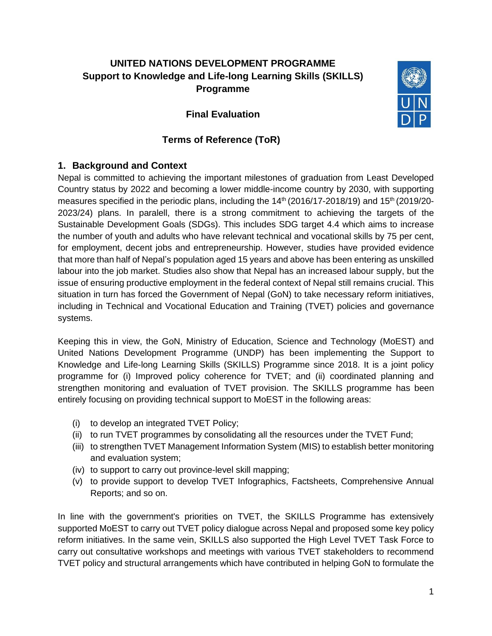# **UNITED NATIONS DEVELOPMENT PROGRAMME Support to Knowledge and Life-long Learning Skills (SKILLS) Programme**

**Final Evaluation**



#### **Terms of Reference (ToR)**

## **1. Background and Context**

Nepal is committed to achieving the important milestones of graduation from Least Developed Country status by 2022 and becoming a lower middle-income country by 2030, with supporting measures specified in the periodic plans, including the  $14<sup>th</sup>$  (2016/17-2018/19) and  $15<sup>th</sup>$  (2019/20-2023/24) plans. In paralell, there is a strong commitment to achieving the targets of the Sustainable Development Goals (SDGs). This includes SDG target 4.4 which aims to increase the number of youth and adults who have relevant technical and vocational skills by 75 per cent, for employment, decent jobs and entrepreneurship. However, studies have provided evidence that more than half of Nepal's population aged 15 years and above has been entering as unskilled labour into the job market. Studies also show that Nepal has an increased labour supply, but the issue of ensuring productive employment in the federal context of Nepal still remains crucial. This situation in turn has forced the Government of Nepal (GoN) to take necessary reform initiatives, including in Technical and Vocational Education and Training (TVET) policies and governance systems.

Keeping this in view, the GoN, Ministry of Education, Science and Technology (MoEST) and United Nations Development Programme (UNDP) has been implementing the Support to Knowledge and Life-long Learning Skills (SKILLS) Programme since 2018. It is a joint policy programme for (i) Improved policy coherence for TVET; and (ii) coordinated planning and strengthen monitoring and evaluation of TVET provision. The SKILLS programme has been entirely focusing on providing technical support to MoEST in the following areas:

- (i) to develop an integrated TVET Policy;
- (ii) to run TVET programmes by consolidating all the resources under the TVET Fund;
- (iii) to strengthen TVET Management Information System (MIS) to establish better monitoring and evaluation system;
- (iv) to support to carry out province-level skill mapping;
- (v) to provide support to develop TVET Infographics, Factsheets, Comprehensive Annual Reports; and so on.

In line with the government's priorities on TVET, the SKILLS Programme has extensively supported MoEST to carry out TVET policy dialogue across Nepal and proposed some key policy reform initiatives. In the same vein, SKILLS also supported the High Level TVET Task Force to carry out consultative workshops and meetings with various TVET stakeholders to recommend TVET policy and structural arrangements which have contributed in helping GoN to formulate the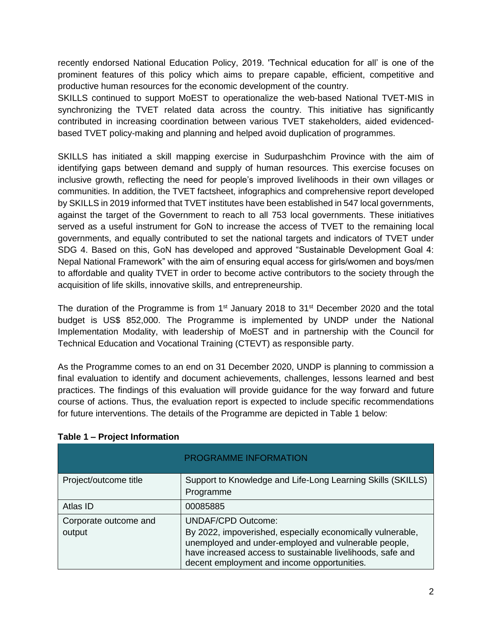recently endorsed National Education Policy, 2019. 'Technical education for all' is one of the prominent features of this policy which aims to prepare capable, efficient, competitive and productive human resources for the economic development of the country.

SKILLS continued to support MoEST to operationalize the web-based National TVET-MIS in synchronizing the TVET related data across the country. This initiative has significantly contributed in increasing coordination between various TVET stakeholders, aided evidencedbased TVET policy-making and planning and helped avoid duplication of programmes.

SKILLS has initiated a skill mapping exercise in Sudurpashchim Province with the aim of identifying gaps between demand and supply of human resources. This exercise focuses on inclusive growth, reflecting the need for people's improved livelihoods in their own villages or communities. In addition, the TVET factsheet, infographics and comprehensive report developed by SKILLS in 2019 informed that TVET institutes have been established in 547 local governments, against the target of the Government to reach to all 753 local governments. These initiatives served as a useful instrument for GoN to increase the access of TVET to the remaining local governments, and equally contributed to set the national targets and indicators of TVET under SDG 4. Based on this, GoN has developed and approved "Sustainable Development Goal 4: Nepal National Framework" with the aim of ensuring equal access for girls/women and boys/men to affordable and quality TVET in order to become active contributors to the society through the acquisition of life skills, innovative skills, and entrepreneurship.

The duration of the Programme is from  $1<sup>st</sup>$  January 2018 to  $31<sup>st</sup>$  December 2020 and the total budget is US\$ 852,000. The Programme is implemented by UNDP under the National Implementation Modality, with leadership of MoEST and in partnership with the Council for Technical Education and Vocational Training (CTEVT) as responsible party.

As the Programme comes to an end on 31 December 2020, UNDP is planning to commission a final evaluation to identify and document achievements, challenges, lessons learned and best practices. The findings of this evaluation will provide guidance for the way forward and future course of actions. Thus, the evaluation report is expected to include specific recommendations for future interventions. The details of the Programme are depicted in Table 1 below:

|                                 | <b>PROGRAMME INFORMATION</b>                                                                                                                                                                                                                                 |
|---------------------------------|--------------------------------------------------------------------------------------------------------------------------------------------------------------------------------------------------------------------------------------------------------------|
| Project/outcome title           | Support to Knowledge and Life-Long Learning Skills (SKILLS)<br>Programme                                                                                                                                                                                     |
| Atlas ID                        | 00085885                                                                                                                                                                                                                                                     |
| Corporate outcome and<br>output | <b>UNDAF/CPD Outcome:</b><br>By 2022, impoverished, especially economically vulnerable,<br>unemployed and under-employed and vulnerable people,<br>have increased access to sustainable livelihoods, safe and<br>decent employment and income opportunities. |

#### **Table 1 – Project Information**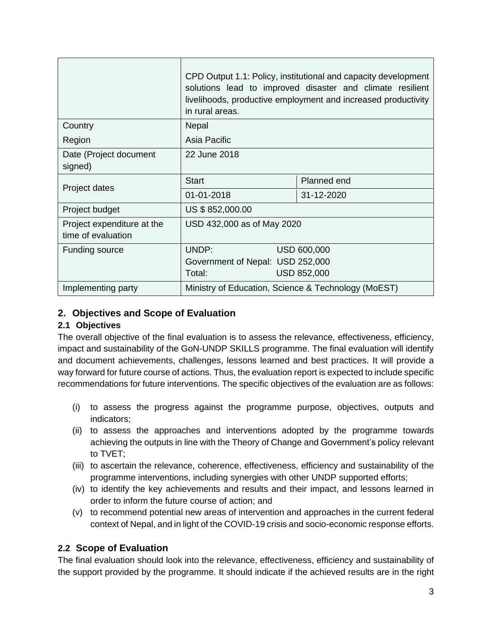|                                                  | CPD Output 1.1: Policy, institutional and capacity development<br>solutions lead to improved disaster and climate resilient<br>livelihoods, productive employment and increased productivity<br>in rural areas. |                    |  |
|--------------------------------------------------|-----------------------------------------------------------------------------------------------------------------------------------------------------------------------------------------------------------------|--------------------|--|
| Country                                          | <b>Nepal</b>                                                                                                                                                                                                    |                    |  |
| Region                                           | Asia Pacific                                                                                                                                                                                                    |                    |  |
| Date (Project document<br>signed)                | 22 June 2018                                                                                                                                                                                                    |                    |  |
| Project dates                                    | <b>Start</b>                                                                                                                                                                                                    | Planned end        |  |
|                                                  | 01-01-2018                                                                                                                                                                                                      | 31-12-2020         |  |
| Project budget                                   | US \$852,000.00                                                                                                                                                                                                 |                    |  |
| Project expenditure at the<br>time of evaluation | USD 432,000 as of May 2020                                                                                                                                                                                      |                    |  |
| Funding source                                   | UNDP:                                                                                                                                                                                                           | <b>USD 600,000</b> |  |
|                                                  | Government of Nepal: USD 252,000                                                                                                                                                                                |                    |  |
|                                                  | Total:                                                                                                                                                                                                          | <b>USD 852,000</b> |  |
| Implementing party                               | Ministry of Education, Science & Technology (MoEST)                                                                                                                                                             |                    |  |

# **2. Objectives and Scope of Evaluation**

## **2.1 Objectives**

The overall objective of the final evaluation is to assess the relevance, effectiveness, efficiency, impact and sustainability of the GoN-UNDP SKILLS programme. The final evaluation will identify and document achievements, challenges, lessons learned and best practices. It will provide a way forward for future course of actions. Thus, the evaluation report is expected to include specific recommendations for future interventions. The specific objectives of the evaluation are as follows:

- (i) to assess the progress against the programme purpose, objectives, outputs and indicators;
- (ii) to assess the approaches and interventions adopted by the programme towards achieving the outputs in line with the Theory of Change and Government's policy relevant to TVET;
- (iii) to ascertain the relevance, coherence, effectiveness, efficiency and sustainability of the programme interventions, including synergies with other UNDP supported efforts;
- (iv) to identify the key achievements and results and their impact, and lessons learned in order to inform the future course of action; and
- (v) to recommend potential new areas of intervention and approaches in the current federal context of Nepal, and in light of the COVID-19 crisis and socio-economic response efforts.

# **2.2 Scope of Evaluation**

The final evaluation should look into the relevance, effectiveness, efficiency and sustainability of the support provided by the programme. It should indicate if the achieved results are in the right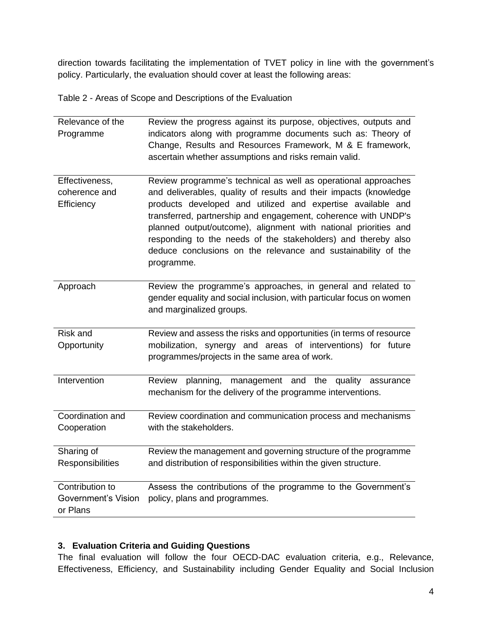direction towards facilitating the implementation of TVET policy in line with the government's policy. Particularly, the evaluation should cover at least the following areas:

Table 2 - Areas of Scope and Descriptions of the Evaluation

| Relevance of the<br>Programme                             | Review the progress against its purpose, objectives, outputs and<br>indicators along with programme documents such as: Theory of<br>Change, Results and Resources Framework, M & E framework,<br>ascertain whether assumptions and risks remain valid.                                                                                                                                                                                                                                  |
|-----------------------------------------------------------|-----------------------------------------------------------------------------------------------------------------------------------------------------------------------------------------------------------------------------------------------------------------------------------------------------------------------------------------------------------------------------------------------------------------------------------------------------------------------------------------|
| Effectiveness,<br>coherence and<br>Efficiency             | Review programme's technical as well as operational approaches<br>and deliverables, quality of results and their impacts (knowledge<br>products developed and utilized and expertise available and<br>transferred, partnership and engagement, coherence with UNDP's<br>planned output/outcome), alignment with national priorities and<br>responding to the needs of the stakeholders) and thereby also<br>deduce conclusions on the relevance and sustainability of the<br>programme. |
| Approach                                                  | Review the programme's approaches, in general and related to<br>gender equality and social inclusion, with particular focus on women<br>and marginalized groups.                                                                                                                                                                                                                                                                                                                        |
| Risk and<br>Opportunity                                   | Review and assess the risks and opportunities (in terms of resource<br>mobilization, synergy and areas of interventions) for future<br>programmes/projects in the same area of work.                                                                                                                                                                                                                                                                                                    |
| Intervention                                              | planning, management and the<br>quality<br>Review<br>assurance<br>mechanism for the delivery of the programme interventions.                                                                                                                                                                                                                                                                                                                                                            |
| Coordination and<br>Cooperation                           | Review coordination and communication process and mechanisms<br>with the stakeholders.                                                                                                                                                                                                                                                                                                                                                                                                  |
| Sharing of<br>Responsibilities                            | Review the management and governing structure of the programme<br>and distribution of responsibilities within the given structure.                                                                                                                                                                                                                                                                                                                                                      |
| Contribution to<br><b>Government's Vision</b><br>or Plans | Assess the contributions of the programme to the Government's<br>policy, plans and programmes.                                                                                                                                                                                                                                                                                                                                                                                          |

#### **3. Evaluation Criteria and Guiding Questions**

The final evaluation will follow the four OECD-DAC evaluation criteria, e.g., Relevance, Effectiveness, Efficiency, and Sustainability including Gender Equality and Social Inclusion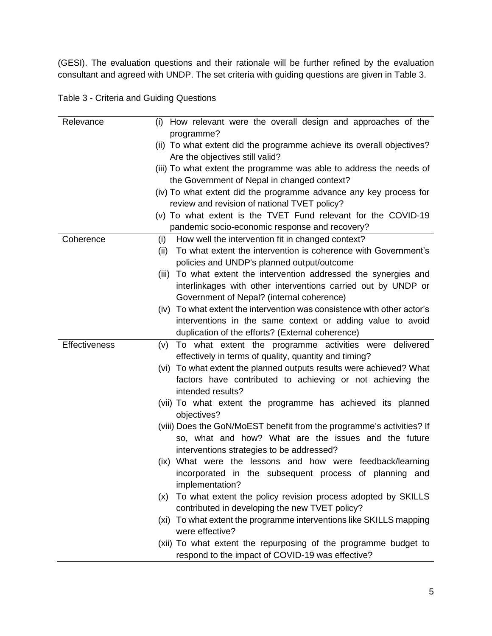(GESI). The evaluation questions and their rationale will be further refined by the evaluation consultant and agreed with UNDP. The set criteria with guiding questions are given in Table 3.

| Table 3 - Criteria and Guiding Questions |  |  |
|------------------------------------------|--|--|
|------------------------------------------|--|--|

| Relevance            | (i) How relevant were the overall design and approaches of the                                                         |
|----------------------|------------------------------------------------------------------------------------------------------------------------|
|                      | programme?<br>(ii) To what extent did the programme achieve its overall objectives?<br>Are the objectives still valid? |
|                      | (iii) To what extent the programme was able to address the needs of                                                    |
|                      | the Government of Nepal in changed context?                                                                            |
|                      | (iv) To what extent did the programme advance any key process for                                                      |
|                      | review and revision of national TVET policy?                                                                           |
|                      | (v) To what extent is the TVET Fund relevant for the COVID-19                                                          |
|                      | pandemic socio-economic response and recovery?                                                                         |
| Coherence            | How well the intervention fit in changed context?<br>(i)                                                               |
|                      | To what extent the intervention is coherence with Government's<br>(ii)                                                 |
|                      | policies and UNDP's planned output/outcome                                                                             |
|                      | To what extent the intervention addressed the synergies and<br>(iii)                                                   |
|                      | interlinkages with other interventions carried out by UNDP or<br>Government of Nepal? (internal coherence)             |
|                      | (iv) To what extent the intervention was consistence with other actor's                                                |
|                      | interventions in the same context or adding value to avoid                                                             |
|                      | duplication of the efforts? (External coherence)                                                                       |
| <b>Effectiveness</b> | To what extent the programme activities were delivered<br>(v)                                                          |
|                      | effectively in terms of quality, quantity and timing?                                                                  |
|                      | (vi) To what extent the planned outputs results were achieved? What                                                    |
|                      | factors have contributed to achieving or not achieving the                                                             |
|                      | intended results?                                                                                                      |
|                      | (vii) To what extent the programme has achieved its planned                                                            |
|                      | objectives?                                                                                                            |
|                      | (viii) Does the GoN/MoEST benefit from the programme's activities? If                                                  |
|                      | so, what and how? What are the issues and the future                                                                   |
|                      | interventions strategies to be addressed?                                                                              |
|                      | (ix) What were the lessons and how were feedback/learning                                                              |
|                      | incorporated in the subsequent process of planning and                                                                 |
|                      | implementation?                                                                                                        |
|                      | To what extent the policy revision process adopted by SKILLS<br>(x)<br>contributed in developing the new TVET policy?  |
|                      | (xi) To what extent the programme interventions like SKILLS mapping                                                    |
|                      | were effective?                                                                                                        |
|                      | (xii) To what extent the repurposing of the programme budget to                                                        |
|                      | respond to the impact of COVID-19 was effective?                                                                       |
|                      |                                                                                                                        |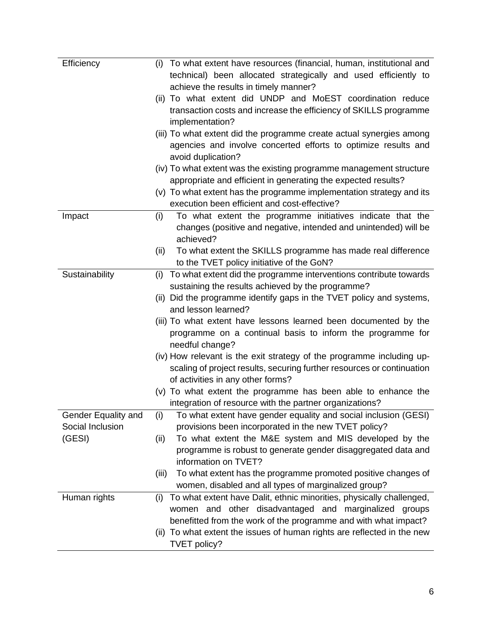| Efficiency          | To what extent have resources (financial, human, institutional and<br>(i)   |
|---------------------|-----------------------------------------------------------------------------|
|                     | technical) been allocated strategically and used efficiently to             |
|                     | achieve the results in timely manner?                                       |
|                     | (ii) To what extent did UNDP and MoEST coordination reduce                  |
|                     | transaction costs and increase the efficiency of SKILLS programme           |
|                     | implementation?                                                             |
|                     | (iii) To what extent did the programme create actual synergies among        |
|                     | agencies and involve concerted efforts to optimize results and              |
|                     | avoid duplication?                                                          |
|                     | (iv) To what extent was the existing programme management structure         |
|                     | appropriate and efficient in generating the expected results?               |
|                     | (v) To what extent has the programme implementation strategy and its        |
|                     | execution been efficient and cost-effective?                                |
| Impact              | To what extent the programme initiatives indicate that the<br>(i)           |
|                     | changes (positive and negative, intended and unintended) will be            |
|                     | achieved?                                                                   |
|                     | To what extent the SKILLS programme has made real difference<br>(ii)        |
|                     | to the TVET policy initiative of the GoN?                                   |
| Sustainability      | To what extent did the programme interventions contribute towards<br>(i)    |
|                     | sustaining the results achieved by the programme?                           |
|                     | (ii) Did the programme identify gaps in the TVET policy and systems,        |
|                     | and lesson learned?                                                         |
|                     | (iii) To what extent have lessons learned been documented by the            |
|                     | programme on a continual basis to inform the programme for                  |
|                     | needful change?                                                             |
|                     | (iv) How relevant is the exit strategy of the programme including up-       |
|                     | scaling of project results, securing further resources or continuation      |
|                     | of activities in any other forms?                                           |
|                     | (v) To what extent the programme has been able to enhance the               |
|                     | integration of resource with the partner organizations?                     |
| Gender Equality and | To what extent have gender equality and social inclusion (GESI)<br>(i)      |
| Social Inclusion    | provisions been incorporated in the new TVET policy?                        |
| (GESI)              | To what extent the M&E system and MIS developed by the<br>(ii)              |
|                     | programme is robust to generate gender disaggregated data and               |
|                     | information on TVET?                                                        |
|                     | To what extent has the programme promoted positive changes of<br>(iii)      |
|                     | women, disabled and all types of marginalized group?                        |
| Human rights        | To what extent have Dalit, ethnic minorities, physically challenged,<br>(i) |
|                     | women and other disadvantaged and marginalized groups                       |
|                     | benefitted from the work of the programme and with what impact?             |
|                     | (ii) To what extent the issues of human rights are reflected in the new     |
|                     | TVET policy?                                                                |
|                     |                                                                             |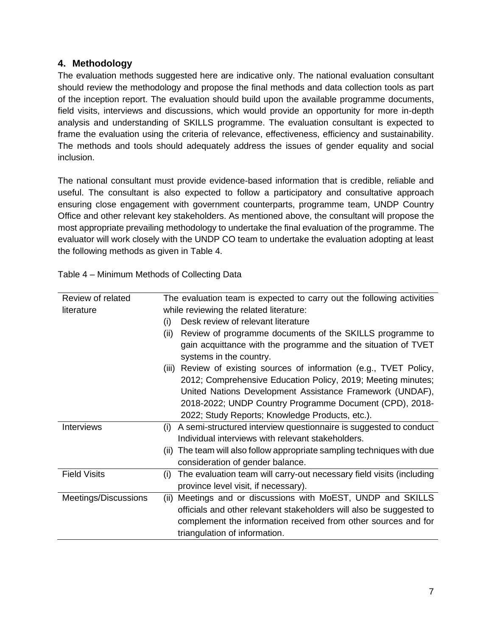#### **4. Methodology**

The evaluation methods suggested here are indicative only. The national evaluation consultant should review the methodology and propose the final methods and data collection tools as part of the inception report. The evaluation should build upon the available programme documents, field visits, interviews and discussions, which would provide an opportunity for more in-depth analysis and understanding of SKILLS programme. The evaluation consultant is expected to frame the evaluation using the criteria of relevance, effectiveness, efficiency and sustainability. The methods and tools should adequately address the issues of gender equality and social inclusion.

The national consultant must provide evidence-based information that is credible, reliable and useful. The consultant is also expected to follow a participatory and consultative approach ensuring close engagement with government counterparts, programme team, UNDP Country Office and other relevant key stakeholders. As mentioned above, the consultant will propose the most appropriate prevailing methodology to undertake the final evaluation of the programme. The evaluator will work closely with the UNDP CO team to undertake the evaluation adopting at least the following methods as given in Table 4.

Table 4 – Minimum Methods of Collecting Data

| Review of related    | The evaluation team is expected to carry out the following activities       |  |  |
|----------------------|-----------------------------------------------------------------------------|--|--|
| literature           | while reviewing the related literature:                                     |  |  |
|                      | Desk review of relevant literature<br>(i)                                   |  |  |
|                      | Review of programme documents of the SKILLS programme to<br>(ii)            |  |  |
|                      | gain acquittance with the programme and the situation of TVET               |  |  |
|                      | systems in the country.                                                     |  |  |
|                      | (iii) Review of existing sources of information (e.g., TVET Policy,         |  |  |
|                      | 2012; Comprehensive Education Policy, 2019; Meeting minutes;                |  |  |
|                      | United Nations Development Assistance Framework (UNDAF),                    |  |  |
|                      | 2018-2022; UNDP Country Programme Document (CPD), 2018-                     |  |  |
|                      | 2022; Study Reports; Knowledge Products, etc.).                             |  |  |
| <b>Interviews</b>    | A semi-structured interview questionnaire is suggested to conduct<br>(i)    |  |  |
|                      | Individual interviews with relevant stakeholders.                           |  |  |
|                      | (ii) The team will also follow appropriate sampling techniques with due     |  |  |
|                      | consideration of gender balance.                                            |  |  |
| <b>Field Visits</b>  | The evaluation team will carry-out necessary field visits (including<br>(i) |  |  |
|                      | province level visit, if necessary).                                        |  |  |
| Meetings/Discussions | Meetings and or discussions with MoEST, UNDP and SKILLS<br>(ii)             |  |  |
|                      | officials and other relevant stakeholders will also be suggested to         |  |  |
|                      | complement the information received from other sources and for              |  |  |
|                      | triangulation of information.                                               |  |  |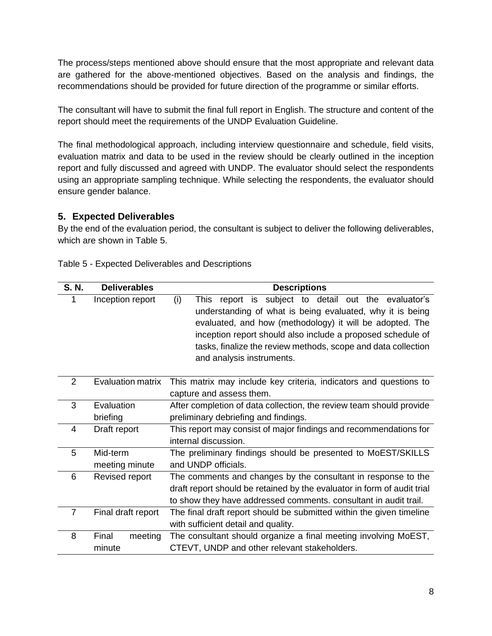The process/steps mentioned above should ensure that the most appropriate and relevant data are gathered for the above-mentioned objectives. Based on the analysis and findings, the recommendations should be provided for future direction of the programme or similar efforts.

The consultant will have to submit the final full report in English. The structure and content of the report should meet the requirements of the UNDP Evaluation Guideline.

The final methodological approach, including interview questionnaire and schedule, field visits, evaluation matrix and data to be used in the review should be clearly outlined in the inception report and fully discussed and agreed with UNDP. The evaluator should select the respondents using an appropriate sampling technique. While selecting the respondents, the evaluator should ensure gender balance.

## **5. Expected Deliverables**

By the end of the evaluation period, the consultant is subject to deliver the following deliverables, which are shown in Table 5.

| S. N.          | <b>Deliverables</b>        | <b>Descriptions</b>                                                                                                                                                                                                                                                                                                                                   |  |  |
|----------------|----------------------------|-------------------------------------------------------------------------------------------------------------------------------------------------------------------------------------------------------------------------------------------------------------------------------------------------------------------------------------------------------|--|--|
| 1              | Inception report           | report is subject to detail out the evaluator's<br>(i)<br>This.<br>understanding of what is being evaluated, why it is being<br>evaluated, and how (methodology) it will be adopted. The<br>inception report should also include a proposed schedule of<br>tasks, finalize the review methods, scope and data collection<br>and analysis instruments. |  |  |
| $\overline{2}$ | <b>Evaluation matrix</b>   | This matrix may include key criteria, indicators and questions to<br>capture and assess them.                                                                                                                                                                                                                                                         |  |  |
| 3              | Evaluation<br>briefing     | After completion of data collection, the review team should provide<br>preliminary debriefing and findings.                                                                                                                                                                                                                                           |  |  |
| 4              | Draft report               | This report may consist of major findings and recommendations for<br>internal discussion.                                                                                                                                                                                                                                                             |  |  |
| 5              | Mid-term<br>meeting minute | The preliminary findings should be presented to MoEST/SKILLS<br>and UNDP officials.                                                                                                                                                                                                                                                                   |  |  |
| 6              | Revised report             | The comments and changes by the consultant in response to the<br>draft report should be retained by the evaluator in form of audit trial<br>to show they have addressed comments. consultant in audit trail.                                                                                                                                          |  |  |
| $\overline{7}$ | Final draft report         | The final draft report should be submitted within the given timeline<br>with sufficient detail and quality.                                                                                                                                                                                                                                           |  |  |
| 8              | Final<br>meeting<br>minute | The consultant should organize a final meeting involving MoEST,<br>CTEVT, UNDP and other relevant stakeholders.                                                                                                                                                                                                                                       |  |  |

Table 5 - Expected Deliverables and Descriptions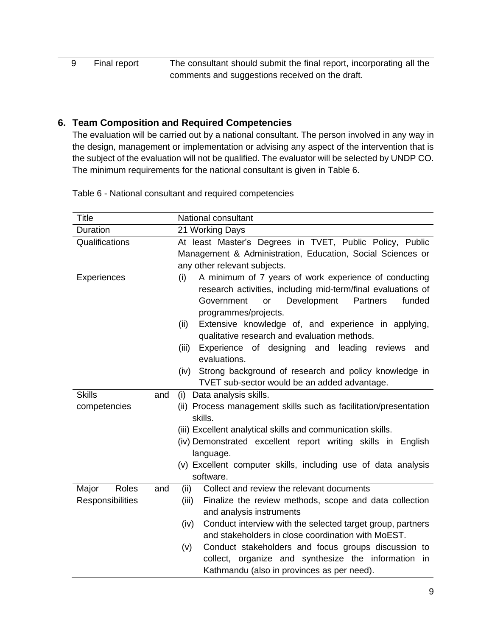# **6. Team Composition and Required Competencies**

The evaluation will be carried out by a national consultant. The person involved in any way in the design, management or implementation or advising any aspect of the intervention that is the subject of the evaluation will not be qualified. The evaluator will be selected by UNDP CO. The minimum requirements for the national consultant is given in Table 6.

Table 6 - National consultant and required competencies

| Title                        | National consultant                                                |  |  |
|------------------------------|--------------------------------------------------------------------|--|--|
| Duration                     | 21 Working Days                                                    |  |  |
| Qualifications               | At least Master's Degrees in TVET, Public Policy, Public           |  |  |
|                              | Management & Administration, Education, Social Sciences or         |  |  |
|                              | any other relevant subjects.                                       |  |  |
| Experiences                  | A minimum of 7 years of work experience of conducting<br>(i)       |  |  |
|                              | research activities, including mid-term/final evaluations of       |  |  |
|                              | Development<br><b>Partners</b><br>funded<br>Government<br>or       |  |  |
|                              | programmes/projects.                                               |  |  |
|                              | Extensive knowledge of, and experience in applying,<br>(ii)        |  |  |
|                              | qualitative research and evaluation methods.                       |  |  |
|                              | Experience of designing and leading reviews<br>(iii)<br>and        |  |  |
|                              | evaluations.                                                       |  |  |
|                              | Strong background of research and policy knowledge in<br>(iv)      |  |  |
|                              | TVET sub-sector would be an added advantage.                       |  |  |
| <b>Skills</b><br>and         | Data analysis skills.<br>(i)                                       |  |  |
| competencies                 | (ii) Process management skills such as facilitation/presentation   |  |  |
|                              | skills.                                                            |  |  |
|                              | (iii) Excellent analytical skills and communication skills.        |  |  |
|                              | (iv) Demonstrated excellent report writing skills in English       |  |  |
|                              | language.                                                          |  |  |
|                              | (v) Excellent computer skills, including use of data analysis      |  |  |
|                              | software.                                                          |  |  |
| <b>Roles</b><br>Major<br>and | Collect and review the relevant documents<br>(ii)                  |  |  |
| Responsibilities             | Finalize the review methods, scope and data collection<br>(iii)    |  |  |
|                              | and analysis instruments                                           |  |  |
|                              | Conduct interview with the selected target group, partners<br>(iv) |  |  |
|                              | and stakeholders in close coordination with MoEST.                 |  |  |
|                              | Conduct stakeholders and focus groups discussion to<br>(v)         |  |  |
|                              | collect, organize and synthesize the information<br>in             |  |  |
|                              | Kathmandu (also in provinces as per need).                         |  |  |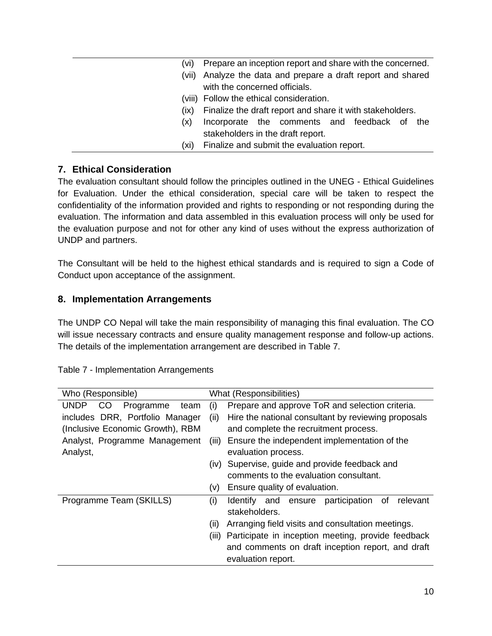#### **7. Ethical Consideration**

The evaluation consultant should follow the principles outlined in the UNEG - Ethical Guidelines for Evaluation. Under the ethical consideration, special care will be taken to respect the confidentiality of the information provided and rights to responding or not responding during the evaluation. The information and data assembled in this evaluation process will only be used for the evaluation purpose and not for other any kind of uses without the express authorization of UNDP and partners.

The Consultant will be held to the highest ethical standards and is required to sign a Code of Conduct upon acceptance of the assignment.

#### **8. Implementation Arrangements**

The UNDP CO Nepal will take the main responsibility of managing this final evaluation. The CO will issue necessary contracts and ensure quality management response and follow-up actions. The details of the implementation arrangement are described in Table 7.

| Who (Responsible)                       |          | What (Responsibilities)                                |  |  |
|-----------------------------------------|----------|--------------------------------------------------------|--|--|
| <b>UNDP</b><br>Programme<br>CO.<br>team | $\sf(1)$ | Prepare and approve ToR and selection criteria.        |  |  |
| includes DRR, Portfolio Manager         | (ii)     | Hire the national consultant by reviewing proposals    |  |  |
| (Inclusive Economic Growth), RBM        |          | and complete the recruitment process.                  |  |  |
| Analyst, Programme Management           | (111).   | Ensure the independent implementation of the           |  |  |
| Analyst,                                |          | evaluation process.                                    |  |  |
|                                         |          | (iv) Supervise, guide and provide feedback and         |  |  |
|                                         |          | comments to the evaluation consultant.                 |  |  |
|                                         | (V)      | Ensure quality of evaluation.                          |  |  |
| Programme Team (SKILLS)                 | (i)      | participation<br>relevant<br>οf<br>Identify and ensure |  |  |
|                                         |          | stakeholders.                                          |  |  |
|                                         | (ii)     | Arranging field visits and consultation meetings.      |  |  |
|                                         | (III)    | Participate in inception meeting, provide feedback     |  |  |
|                                         |          | and comments on draft inception report, and draft      |  |  |
|                                         |          | evaluation report.                                     |  |  |

Table 7 - Implementation Arrangements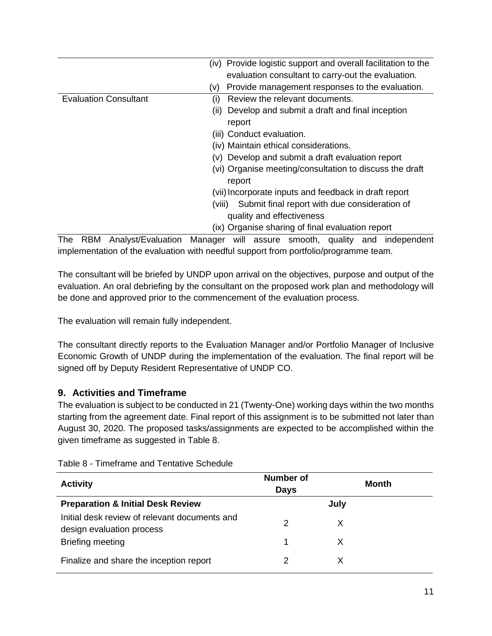|                              | (iv) Provide logistic support and overall facilitation to the |
|------------------------------|---------------------------------------------------------------|
|                              | evaluation consultant to carry-out the evaluation.            |
|                              | Provide management responses to the evaluation.<br>(V)        |
| <b>Evaluation Consultant</b> | Review the relevant documents.<br>(i)                         |
|                              | (ii) Develop and submit a draft and final inception           |
|                              | report                                                        |
|                              | (iii) Conduct evaluation.                                     |
|                              | (iv) Maintain ethical considerations.                         |
|                              | (v) Develop and submit a draft evaluation report              |
|                              | (vi) Organise meeting/consultation to discuss the draft       |
|                              | report                                                        |
|                              | (vii) Incorporate inputs and feedback in draft report         |
|                              | Submit final report with due consideration of<br>(viii).      |
|                              | quality and effectiveness                                     |
|                              | (ix) Organise sharing of final evaluation report              |

The RBM Analyst/Evaluation Manager will assure smooth, quality and independent implementation of the evaluation with needful support from portfolio/programme team.

The consultant will be briefed by UNDP upon arrival on the objectives, purpose and output of the evaluation. An oral debriefing by the consultant on the proposed work plan and methodology will be done and approved prior to the commencement of the evaluation process.

The evaluation will remain fully independent.

The consultant directly reports to the Evaluation Manager and/or Portfolio Manager of Inclusive Economic Growth of UNDP during the implementation of the evaluation. The final report will be signed off by Deputy Resident Representative of UNDP CO.

## **9. Activities and Timeframe**

The evaluation is subject to be conducted in 21 (Twenty-One) working days within the two months starting from the agreement date. Final report of this assignment is to be submitted not later than August 30, 2020. The proposed tasks/assignments are expected to be accomplished within the given timeframe as suggested in Table 8.

| <b>Activity</b>                                                            | <b>Number of</b><br><b>Days</b> | Month |  |
|----------------------------------------------------------------------------|---------------------------------|-------|--|
| <b>Preparation &amp; Initial Desk Review</b>                               |                                 | July  |  |
| Initial desk review of relevant documents and<br>design evaluation process | 2                               | X     |  |
| Briefing meeting                                                           |                                 | X     |  |
| Finalize and share the inception report                                    |                                 |       |  |

Table 8 - Timeframe and Tentative Schedule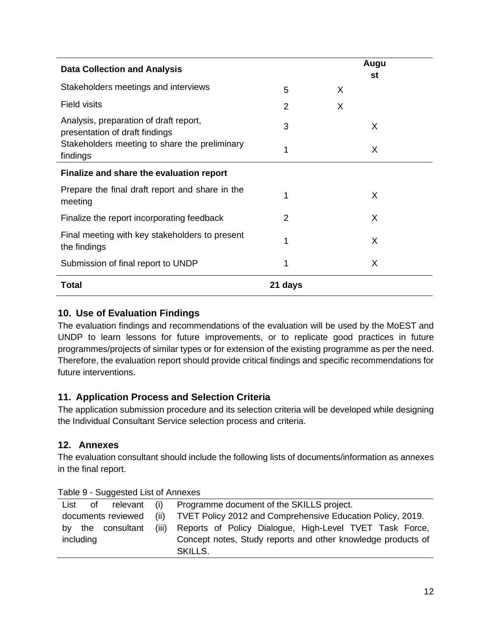| <b>Data Collection and Analysis</b>                                      |         |   | Augu<br>st |  |
|--------------------------------------------------------------------------|---------|---|------------|--|
| Stakeholders meetings and interviews                                     | 5       | X |            |  |
| <b>Field visits</b>                                                      | 2       | X |            |  |
| Analysis, preparation of draft report,<br>presentation of draft findings | 3       |   | X          |  |
| Stakeholders meeting to share the preliminary<br>findings                | 1       |   | X          |  |
| Finalize and share the evaluation report                                 |         |   |            |  |
| Prepare the final draft report and share in the<br>meeting               | 1       |   | X          |  |
| Finalize the report incorporating feedback                               | 2       |   | X          |  |
| Final meeting with key stakeholders to present<br>the findings           | 1       |   | X          |  |
| Submission of final report to UNDP                                       | 1       |   | X          |  |
| <b>Total</b>                                                             | 21 days |   |            |  |

## **10. Use of Evaluation Findings**

The evaluation findings and recommendations of the evaluation will be used by the MoEST and UNDP to learn lessons for future improvements, or to replicate good practices in future programmes/projects of similar types or for extension of the existing programme as per the need. Therefore, the evaluation report should provide critical findings and specific recommendations for future interventions.

## **11. Application Process and Selection Criteria**

The application submission procedure and its selection criteria will be developed while designing the Individual Consultant Service selection process and criteria.

## **12. Annexes**

The evaluation consultant should include the following lists of documents/information as annexes in the final report.

| List      | 0f | relevant           | (i)   | Programme document of the SKILLS project.                    |
|-----------|----|--------------------|-------|--------------------------------------------------------------|
|           |    | documents reviewed | (ii)  | TVET Policy 2012 and Comprehensive Education Policy, 2019.   |
| b٧        |    | the consultant     | (iii) | Reports of Policy Dialogue, High-Level TVET Task Force,      |
| including |    |                    |       | Concept notes, Study reports and other knowledge products of |
|           |    |                    |       | <b>SKILLS.</b>                                               |

Table 9 - Suggested List of Annexes